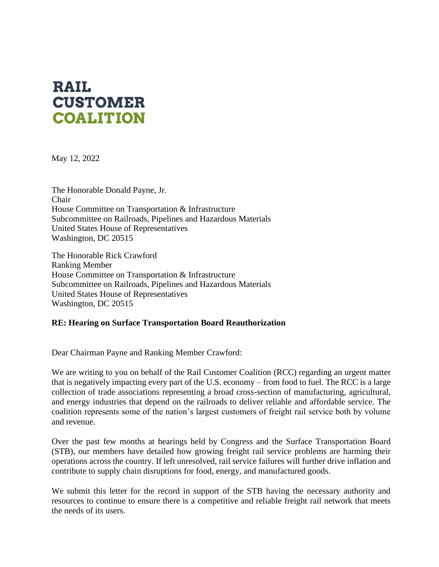## **RAIL CUSTOMER COALITION**

May 12, 2022

The Honorable Donald Payne, Jr. Chair House Committee on Transportation & Infrastructure Subcommittee on Railroads, Pipelines and Hazardous Materials United States House of Representatives Washington, DC 20515

The Honorable Rick Crawford Ranking Member House Committee on Transportation & Infrastructure Subcommittee on Railroads, Pipelines and Hazardous Materials United States House of Representatives Washington, DC 20515

## **RE: Hearing on Surface Transportation Board Reauthorization**

Dear Chairman Payne and Ranking Member Crawford:

We are writing to you on behalf of the Rail Customer Coalition (RCC) regarding an urgent matter that is negatively impacting every part of the U.S. economy – from food to fuel. The RCC is a large collection of trade associations representing a broad cross-section of manufacturing, agricultural, and energy industries that depend on the railroads to deliver reliable and affordable service. The coalition represents some of the nation's largest customers of freight rail service both by volume and revenue.

Over the past few months at hearings held by Congress and the Surface Transportation Board (STB), our members have detailed how growing freight rail service problems are harming their operations across the country. If left unresolved, rail service failures will further drive inflation and contribute to supply chain disruptions for food, energy, and manufactured goods.

We submit this letter for the record in support of the STB having the necessary authority and resources to continue to ensure there is a competitive and reliable freight rail network that meets the needs of its users.